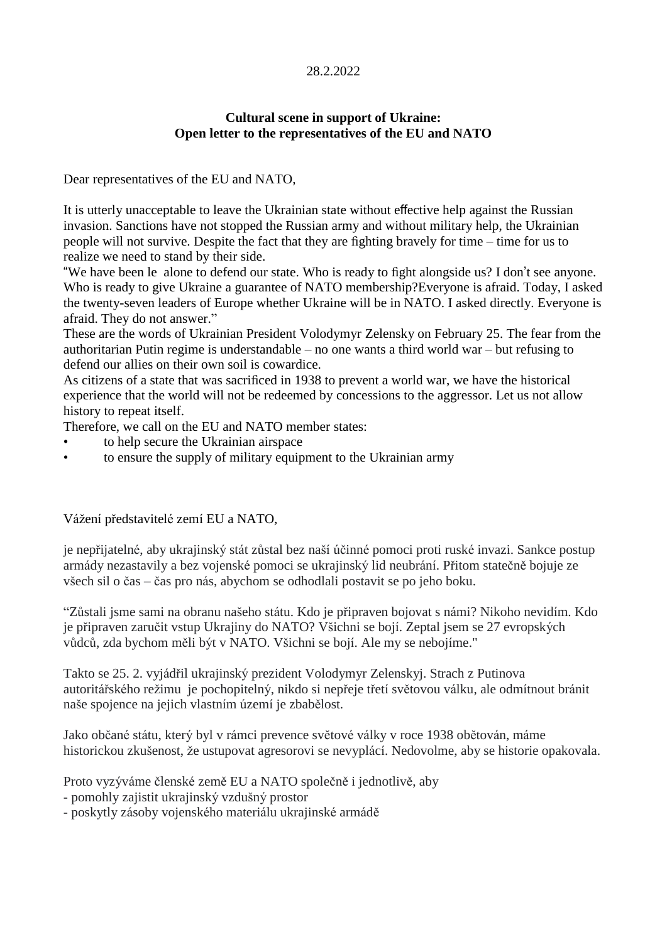## 28.2.2022

## **Cultural scene in support of Ukraine: Open letter to the representatives of the EU and NATO**

Dear representatives of the EU and NATO,

It is utterly unacceptable to leave the Ukrainian state without effective help against the Russian invasion. Sanctions have not stopped the Russian army and without military help, the Ukrainian people will not survive. Despite the fact that they are fighting bravely for time – time for us to realize we need to stand by their side.

"We have been le alone to defend our state. Who is ready to fight alongside us? I don't see anyone. Who is ready to give Ukraine a guarantee of NATO membership?Everyone is afraid. Today, I asked the twenty-seven leaders of Europe whether Ukraine will be in NATO. I asked directly. Everyone is afraid. They do not answer."

These are the words of Ukrainian President Volodymyr Zelensky on February 25. The fear from the authoritarian Putin regime is understandable – no one wants a third world war – but refusing to defend our allies on their own soil is cowardice.

As citizens of a state that was sacrificed in 1938 to prevent a world war, we have the historical experience that the world will not be redeemed by concessions to the aggressor. Let us not allow history to repeat itself.

Therefore, we call on the EU and NATO member states:

- to help secure the Ukrainian airspace
- to ensure the supply of military equipment to the Ukrainian army

Vážení představitelé zemí EU a NATO,

je nepřijatelné, aby ukrajinský stát zůstal bez naší účinné pomoci proti ruské invazi. Sankce postup armády nezastavily a bez vojenské pomoci se ukrajinský lid neubrání. Přitom statečně bojuje ze všech sil o čas – čas pro nás, abychom se odhodlali postavit se po jeho boku.

"Zůstali jsme sami na obranu našeho státu. Kdo je připraven bojovat s námi? Nikoho nevidím. Kdo je připraven zaručit vstup Ukrajiny do NATO? Všichni se bojí. Zeptal jsem se 27 evropských vůdců, zda bychom měli být v NATO. Všichni se bojí. Ale my se nebojíme."

Takto se 25. 2. vyjádřil ukrajinský prezident Volodymyr Zelenskyj. Strach z Putinova autoritářského režimu je pochopitelný, nikdo si nepřeje třetí světovou válku, ale odmítnout bránit naše spojence na jejich vlastním území je zbabělost.

Jako občané státu, který byl v rámci prevence světové války v roce 1938 obětován, máme historickou zkušenost, že ustupovat agresorovi se nevyplácí. Nedovolme, aby se historie opakovala.

Proto vyzýváme členské země EU a NATO společně i jednotlivě, aby

- pomohly zajistit ukrajinský vzdušný prostor

- poskytly zásoby vojenského materiálu ukrajinské armádě